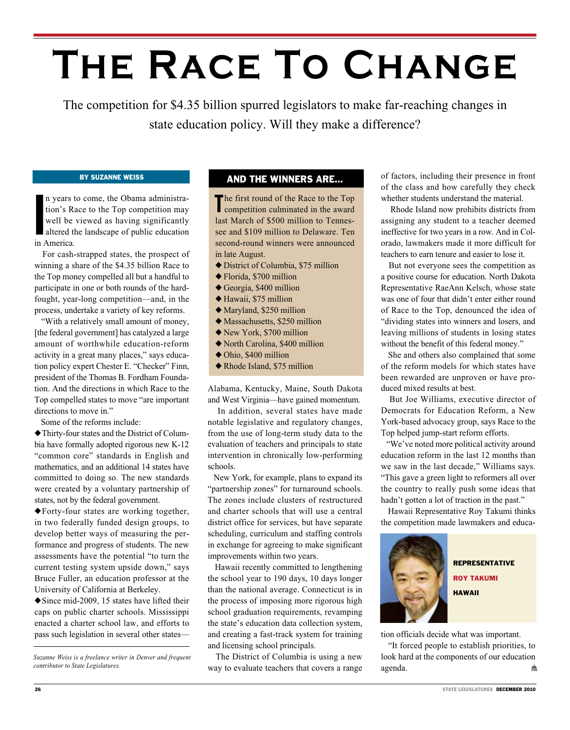# **The Race To Change**

The competition for \$4.35 billion spurred legislators to make far-reaching changes in state education policy. Will they make a difference?

### By Suzanne Weiss

n years that<br>
ion's R<br>
well be<br>
altered the<br>
in America. n years to come, the Obama administration's Race to the Top competition may well be viewed as having significantly altered the landscape of public education

 For cash-strapped states, the prospect of winning a share of the \$4.35 billion Race to the Top money compelled all but a handful to participate in one or both rounds of the hardfought, year-long competition—and, in the process, undertake a variety of key reforms.

 "With a relatively small amount of money, [the federal government] has catalyzed a large amount of worthwhile education-reform activity in a great many places," says education policy expert Chester E. "Checker" Finn, president of the Thomas B. Fordham Foundation. And the directions in which Race to the Top compelled states to move "are important directions to move in."

Some of the reforms include:

 $\blacklozenge$  Thirty-four states and the District of Columbia have formally adopted rigorous new K-12 "common core" standards in English and mathematics, and an additional 14 states have committed to doing so. The new standards were created by a voluntary partnership of states, not by the federal government.

 $\blacklozenge$  Forty-four states are working together, in two federally funded design groups, to develop better ways of measuring the performance and progress of students. The new assessments have the potential "to turn the current testing system upside down," says Bruce Fuller, an education professor at the University of California at Berkeley.

 $\blacklozenge$  Since mid-2009, 15 states have lifted their caps on public charter schools. Mississippi enacted a charter school law, and efforts to pass such legislation in several other states—

## And the Winners Are…

The first round of the Race to the Top<br>competition culminated in the award competition culminated in the award last March of \$500 million to Tennessee and \$109 million to Delaware. Ten second-round winners were announced in late August.

- $\blacklozenge$  District of Columbia, \$75 million
- $\blacklozenge$  Florida, \$700 million
- $\triangle$  Georgia, \$400 million
- $\blacklozenge$  Hawaii, \$75 million
- $\blacklozenge$  Maryland, \$250 million
- $\blacklozenge$  Massachusetts, \$250 million
- $\blacklozenge$  New York, \$700 million
- $\triangle$  North Carolina, \$400 million
- $\triangle$  Ohio, \$400 million
- $\blacklozenge$  Rhode Island, \$75 million

Alabama, Kentucky, Maine, South Dakota and West Virginia—have gained momentum.

 In addition, several states have made notable legislative and regulatory changes, from the use of long-term study data to the evaluation of teachers and principals to state intervention in chronically low-performing schools.

 New York, for example, plans to expand its "partnership zones" for turnaround schools. The zones include clusters of restructured and charter schools that will use a central district office for services, but have separate scheduling, curriculum and staffing controls in exchange for agreeing to make significant improvements within two years.

 Hawaii recently committed to lengthening the school year to 190 days, 10 days longer than the national average. Connecticut is in the process of imposing more rigorous high school graduation requirements, revamping the state's education data collection system, and creating a fast-track system for training and licensing school principals.

 The District of Columbia is using a new way to evaluate teachers that covers a range of factors, including their presence in front of the class and how carefully they check whether students understand the material.

 Rhode Island now prohibits districts from assigning any student to a teacher deemed ineffective for two years in a row. And in Colorado, lawmakers made it more difficult for teachers to earn tenure and easier to lose it.

 But not everyone sees the competition as a positive course for education. North Dakota Representative RaeAnn Kelsch, whose state was one of four that didn't enter either round of Race to the Top, denounced the idea of "dividing states into winners and losers, and leaving millions of students in losing states without the benefit of this federal money."

 She and others also complained that some of the reform models for which states have been rewarded are unproven or have produced mixed results at best.

 But Joe Williams, executive director of Democrats for Education Reform, a New York-based advocacy group, says Race to the Top helped jump-start reform efforts.

 "We've noted more political activity around education reform in the last 12 months than we saw in the last decade," Williams says. "This gave a green light to reformers all over the country to really push some ideas that hadn't gotten a lot of traction in the past."

 Hawaii Representative Roy Takumi thinks the competition made lawmakers and educa-



#### Representative

Roy Takumi Hawaii

tion officials decide what was important.

 "It forced people to establish priorities, to look hard at the components of our education agenda. 龠

*Suzanne Weiss is a freelance writer in Denver and frequent contributor to State Legislatures.*